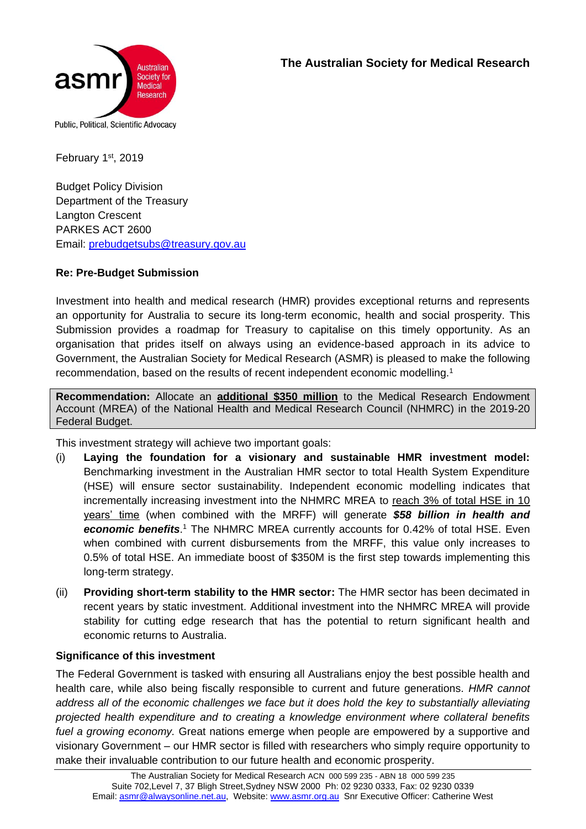



February 1st, 2019

Budget Policy Division Department of the Treasury Langton Crescent PARKES ACT 2600 Email: [prebudgetsubs@treasury.gov.au](mailto:prebudgetsubs@treasury.gov.au) 

### **Re: Pre-Budget Submission**

Investment into health and medical research (HMR) provides exceptional returns and represents an opportunity for Australia to secure its long-term economic, health and social prosperity. This Submission provides a roadmap for Treasury to capitalise on this timely opportunity. As an organisation that prides itself on always using an evidence-based approach in its advice to Government, the Australian Society for Medical Research (ASMR) is pleased to make the following recommendation, based on the results of recent independent economic modelling.<sup>1</sup>

**Recommendation:** Allocate an **additional \$350 million** to the Medical Research Endowment Account (MREA) of the National Health and Medical Research Council (NHMRC) in the 2019-20 Federal Budget.

This investment strategy will achieve two important goals:

- (i) **Laying the foundation for a visionary and sustainable HMR investment model:**  Benchmarking investment in the Australian HMR sector to total Health System Expenditure (HSE) will ensure sector sustainability. Independent economic modelling indicates that incrementally increasing investment into the NHMRC MREA to reach 3% of total HSE in 10 years' time (when combined with the MRFF) will generate *\$58 billion in health and economic benefits*. <sup>1</sup> The NHMRC MREA currently accounts for 0.42% of total HSE. Even when combined with current disbursements from the MRFF, this value only increases to 0.5% of total HSE. An immediate boost of \$350M is the first step towards implementing this long-term strategy.
- (ii) **Providing short-term stability to the HMR sector:** The HMR sector has been decimated in recent years by static investment. Additional investment into the NHMRC MREA will provide stability for cutting edge research that has the potential to return significant health and economic returns to Australia.

### **Significance of this investment**

The Federal Government is tasked with ensuring all Australians enjoy the best possible health and health care, while also being fiscally responsible to current and future generations. *HMR cannot address all of the economic challenges we face but it does hold the key to substantially alleviating projected health expenditure and to creating a knowledge environment where collateral benefits fuel a growing economy.* Great nations emerge when people are empowered by a supportive and visionary Government – our HMR sector is filled with researchers who simply require opportunity to make their invaluable contribution to our future health and economic prosperity.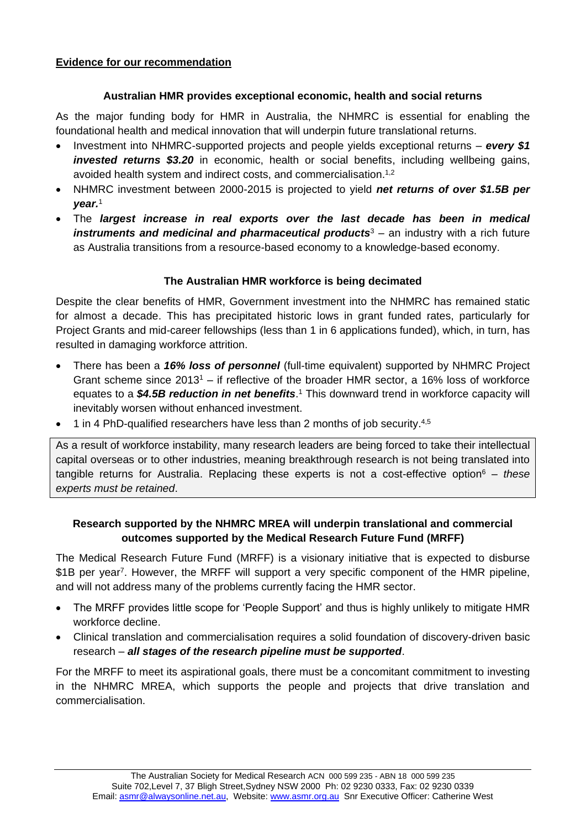### **Australian HMR provides exceptional economic, health and social returns**

As the major funding body for HMR in Australia, the NHMRC is essential for enabling the foundational health and medical innovation that will underpin future translational returns.

- Investment into NHMRC-supported projects and people yields exceptional returns *every \$1 invested returns \$3.20* in economic, health or social benefits, including wellbeing gains, avoided health system and indirect costs, and commercialisation.<sup>1,2</sup>
- NHMRC investment between 2000-2015 is projected to yield *net returns of over \$1.5B per year.* 1
- The *largest increase in real exports over the last decade has been in medical instruments and medicinal and pharmaceutical products*<sup>3</sup> – an industry with a rich future as Australia transitions from a resource-based economy to a knowledge-based economy.

### **The Australian HMR workforce is being decimated**

Despite the clear benefits of HMR, Government investment into the NHMRC has remained static for almost a decade. This has precipitated historic lows in grant funded rates, particularly for Project Grants and mid-career fellowships (less than 1 in 6 applications funded), which, in turn, has resulted in damaging workforce attrition.

- There has been a *16% loss of personnel* (full-time equivalent) supported by NHMRC Project Grant scheme since 2013<sup>1</sup> – if reflective of the broader HMR sector, a 16% loss of workforce equates to a *\$4.5B reduction in net benefits*. <sup>1</sup> This downward trend in workforce capacity will inevitably worsen without enhanced investment.
- $\bullet$  1 in 4 PhD-qualified researchers have less than 2 months of job security.<sup>4,5</sup>

As a result of workforce instability, many research leaders are being forced to take their intellectual capital overseas or to other industries, meaning breakthrough research is not being translated into tangible returns for Australia. Replacing these experts is not a cost-effective option<sup>6</sup> – *these experts must be retained*.

# **Research supported by the NHMRC MREA will underpin translational and commercial outcomes supported by the Medical Research Future Fund (MRFF)**

The Medical Research Future Fund (MRFF) is a visionary initiative that is expected to disburse \$1B per year<sup>7</sup>. However, the MRFF will support a very specific component of the HMR pipeline, and will not address many of the problems currently facing the HMR sector.

- The MRFF provides little scope for 'People Support' and thus is highly unlikely to mitigate HMR workforce decline.
- Clinical translation and commercialisation requires a solid foundation of discovery-driven basic research – *all stages of the research pipeline must be supported*.

For the MRFF to meet its aspirational goals, there must be a concomitant commitment to investing in the NHMRC MREA, which supports the people and projects that drive translation and commercialisation.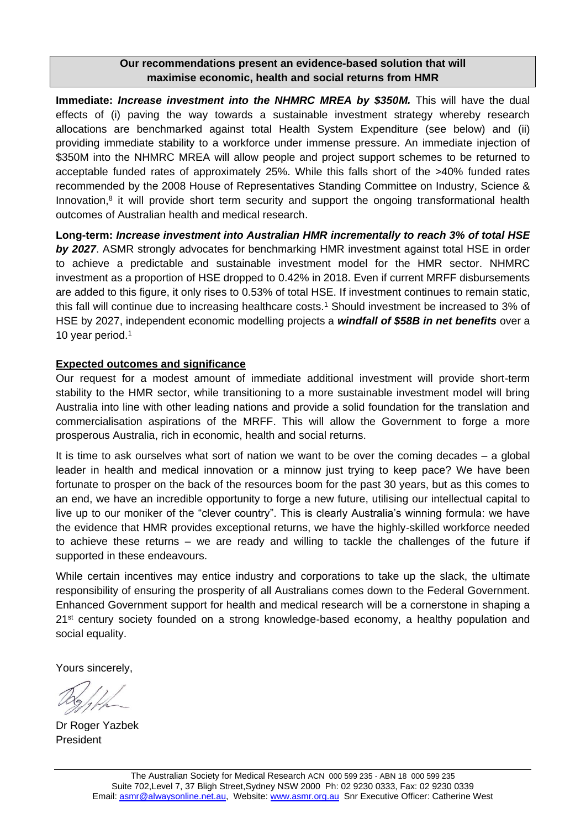## **Our recommendations present an evidence-based solution that will maximise economic, health and social returns from HMR**

**Immediate:** *Increase investment into the NHMRC MREA by \$350M.* This will have the dual effects of (i) paving the way towards a sustainable investment strategy whereby research allocations are benchmarked against total Health System Expenditure (see below) and (ii) providing immediate stability to a workforce under immense pressure. An immediate injection of \$350M into the NHMRC MREA will allow people and project support schemes to be returned to acceptable funded rates of approximately 25%. While this falls short of the >40% funded rates recommended by the 2008 House of Representatives Standing Committee on Industry, Science & Innovation,<sup>8</sup> it will provide short term security and support the ongoing transformational health outcomes of Australian health and medical research.

**Long-term:** *Increase investment into Australian HMR incrementally to reach 3% of total HSE*  **by 2027.** ASMR strongly advocates for benchmarking HMR investment against total HSE in order to achieve a predictable and sustainable investment model for the HMR sector. NHMRC investment as a proportion of HSE dropped to 0.42% in 2018. Even if current MRFF disbursements are added to this figure, it only rises to 0.53% of total HSE. If investment continues to remain static, this fall will continue due to increasing healthcare costs.<sup>1</sup> Should investment be increased to 3% of HSE by 2027, independent economic modelling projects a *windfall of \$58B in net benefits* over a 10 year period.<sup>1</sup>

### **Expected outcomes and significance**

Our request for a modest amount of immediate additional investment will provide short-term stability to the HMR sector, while transitioning to a more sustainable investment model will bring Australia into line with other leading nations and provide a solid foundation for the translation and commercialisation aspirations of the MRFF. This will allow the Government to forge a more prosperous Australia, rich in economic, health and social returns.

It is time to ask ourselves what sort of nation we want to be over the coming decades – a global leader in health and medical innovation or a minnow just trying to keep pace? We have been fortunate to prosper on the back of the resources boom for the past 30 years, but as this comes to an end, we have an incredible opportunity to forge a new future, utilising our intellectual capital to live up to our moniker of the "clever country". This is clearly Australia's winning formula: we have the evidence that HMR provides exceptional returns, we have the highly-skilled workforce needed to achieve these returns – we are ready and willing to tackle the challenges of the future if supported in these endeavours.

While certain incentives may entice industry and corporations to take up the slack, the ultimate responsibility of ensuring the prosperity of all Australians comes down to the Federal Government. Enhanced Government support for health and medical research will be a cornerstone in shaping a 21<sup>st</sup> century society founded on a strong knowledge-based economy, a healthy population and social equality.

Yours sincerely,

Dr Roger Yazbek President